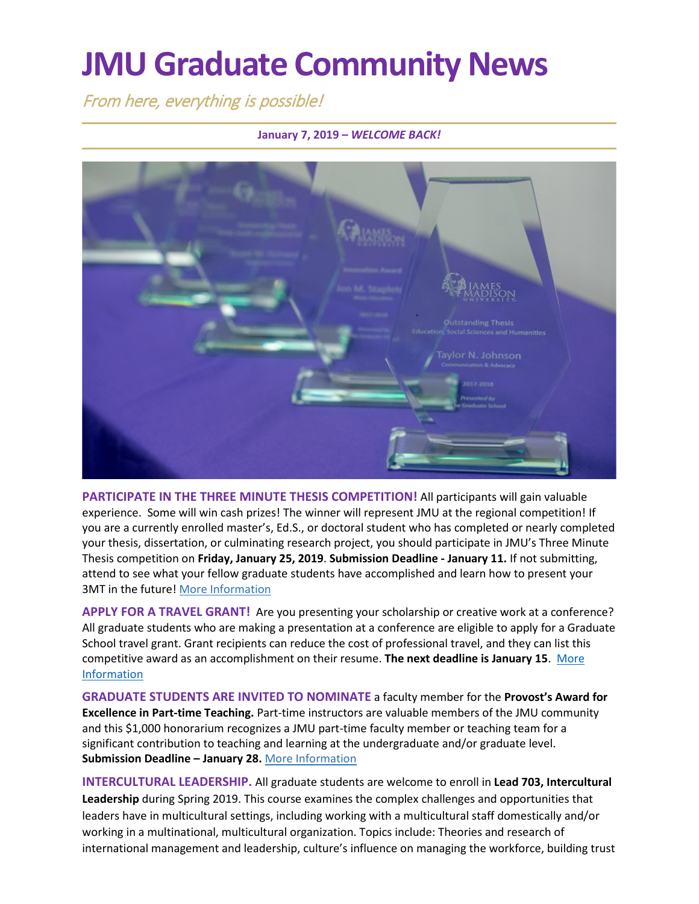# **JMU Graduate Community News**

From here, everything is possible!

#### **January 7, 2019 –** *WELCOME BACK!*



PARTICIPATE IN THE THREE MINUTE THESIS COMPETITION! All participants will gain valuable experience. Some will win cash prizes! The winner will represent JMU at the regional competition! If you are a currently enrolled master's, Ed.S., or doctoral student who has completed or nearly completed your thesis, dissertation, or culminating research project, you should participate in JMU's Three Minute Thesis competition on **Friday, January 25, 2019**. **Submission Deadline - January 11.** If not submitting, attend to see what your fellow graduate students have accomplished and learn how to present your 3MT in the future! [More Information](http://www.jmu.edu/grad/current-students/three-minute-thesis.shtml)

**APPLY FOR A TRAVEL GRANT!** Are you presenting your scholarship or creative work at a conference? All graduate students who are making a presentation at a conference are eligible to apply for a Graduate School travel grant. Grant recipients can reduce the cost of professional travel, and they can list this competitive award as an accomplishment on their resume. **The next deadline is January 15**. [More](http://www.jmu.edu/grad/current-students/awards-grants/travel-grants.shtml)  [Information](http://www.jmu.edu/grad/current-students/awards-grants/travel-grants.shtml)

**GRADUATE STUDENTS ARE INVITED TO NOMINATE** a faculty member for the **Provost's Award for Excellence in Part-time Teaching.** Part-time instructors are valuable members of the JMU community and this \$1,000 honorarium recognizes a JMU part-time faculty member or teaching team for a significant contribution to teaching and learning at the undergraduate and/or graduate level. **Submission Deadline – January 28.** [More Information](https://www.jmu.edu/cfi/career-planning/consultations/pt-faculty-award.shtml)

**INTERCULTURAL LEADERSHIP.** All graduate students are welcome to enroll in **Lead 703, Intercultural Leadership** during Spring 2019. This course examines the complex challenges and opportunities that leaders have in multicultural settings, including working with a multicultural staff domestically and/or working in a multinational, multicultural organization. Topics include: Theories and research of international management and leadership, culture's influence on managing the workforce, building trust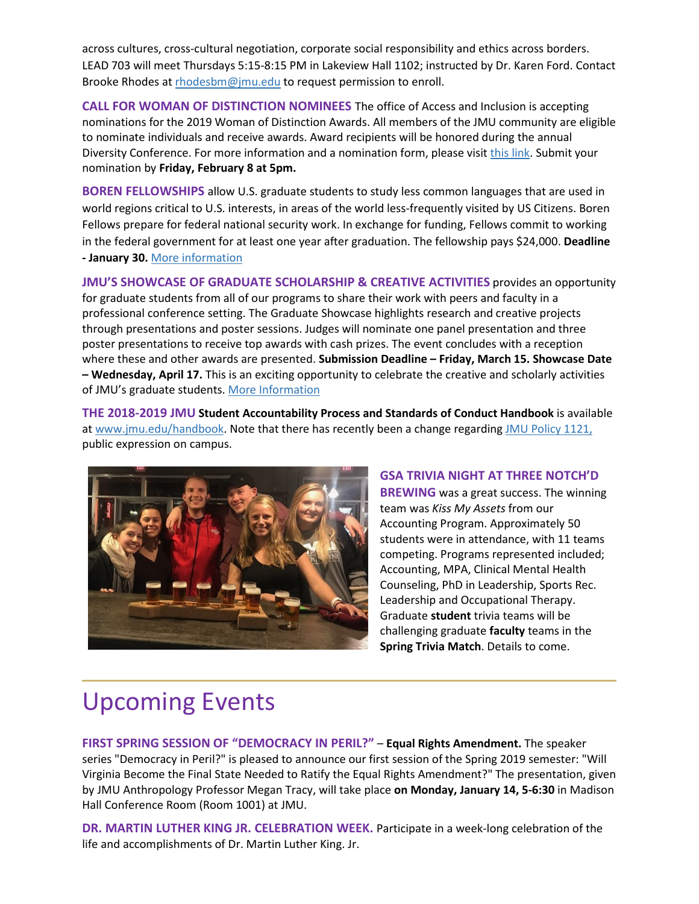across cultures, cross-cultural negotiation, corporate social responsibility and ethics across borders. LEAD 703 will meet Thursdays 5:15-8:15 PM in Lakeview Hall 1102; instructed by Dr. Karen Ford. Contact Brooke Rhodes a[t rhodesbm@jmu.edu](mailto:rhodesbm@jmu.edu) to request permission to enroll.

**CALL FOR WOMAN OF DISTINCTION NOMINEES** The office of Access and Inclusion is accepting nominations for the 2019 Woman of Distinction Awards. All members of the JMU community are eligible to nominate individuals and receive awards. Award recipients will be honored during the annual Diversity Conference. For more information and a nomination form, please visi[t this link.](http://www.jmu.edu/diversity/programs-and-events/Woman-of-Distinction-Award.shtml) Submit your nomination by **Friday, February 8 at 5pm.**

**BOREN FELLOWSHIPS** allow U.S. graduate students to study less common languages that are used in world regions critical to U.S. interests, in areas of the world less-frequently visited by US Citizens. Boren Fellows prepare for federal national security work. In exchange for funding, Fellows commit to working in the federal government for at least one year after graduation. The fellowship pays \$24,000. **Deadline - January 30.** [More information](https://www.borenawards.org/fellowships/boren-fellowship-basics)

**JMU'S SHOWCASE OF GRADUATE SCHOLARSHIP & CREATIVE ACTIVITIES** provides an opportunity for graduate students from all of our programs to share their work with peers and faculty in a professional conference setting. The Graduate Showcase highlights research and creative projects through presentations and poster sessions. Judges will nominate one panel presentation and three poster presentations to receive top awards with cash prizes. The event concludes with a reception where these and other awards are presented. **Submission Deadline – Friday, March 15. Showcase Date – Wednesday, April 17.** This is an exciting opportunity to celebrate the creative and scholarly activities of JMU's graduate students. [More Information](http://www.jmu.edu/grad/GraduateShowcase/index.shtml)

**THE 2018-2019 JMU Student Accountability Process and Standards of Conduct Handbook** is available at [www.jmu.edu/handbook.](https://www.jmu.edu/osarp/handbook/index.shtml) Note that there has recently been a change regarding [JMU Policy 1121,](https://www.jmu.edu/JMUpolicy/policies/1121.shtml) public expression on campus.



**GSA TRIVIA NIGHT AT THREE NOTCH'D BREWING** was a great success. The winning team was *Kiss My Assets* from our Accounting Program. Approximately 50 students were in attendance, with 11 teams competing. Programs represented included; Accounting, MPA, Clinical Mental Health Counseling, PhD in Leadership, Sports Rec. Leadership and Occupational Therapy. Graduate **student** trivia teams will be challenging graduate **faculty** teams in the **Spring Trivia Match**. Details to come.

### Upcoming Events

**FIRST SPRING SESSION OF "DEMOCRACY IN PERIL?"** – **Equal Rights Amendment.** The speaker series "Democracy in Peril?" is pleased to announce our first session of the Spring 2019 semester: "Will Virginia Become the Final State Needed to Ratify the Equal Rights Amendment?" The presentation, given by JMU Anthropology Professor Megan Tracy, will take place **on Monday, January 14, 5-6:30** in Madison Hall Conference Room (Room 1001) at JMU.

**DR. MARTIN LUTHER KING JR. CELEBRATION WEEK.** Participate in a week-long celebration of the life and accomplishments of Dr. Martin Luther King. Jr.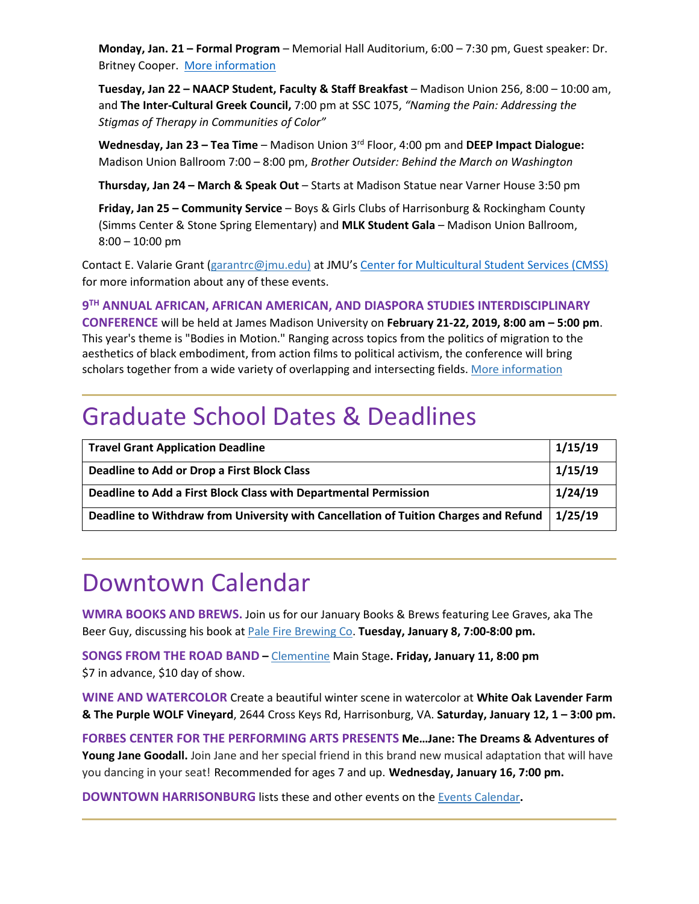**Monday, Jan. 21 – Formal Program** – Memorial Hall Auditorium, 6:00 – 7:30 pm, Guest speaker: Dr. Britney Cooper. [More information](https://ems.jmu.edu/MasterCalendar/EventDetails.aspx?data=hHr80o3M7J5oNmobgYC8En5ZU34hQVXnYt3DYYW43i0ccRbsZMnOqjbZTEoWk%2fwI&_ga=2.116904774.1598574213.1546774725-566032593.1516701960)

**Tuesday, Jan 22 – NAACP Student, Faculty & Staff Breakfast** – Madison Union 256, 8:00 – 10:00 am, and **The Inter-Cultural Greek Council,** 7:00 pm at SSC 1075, *"Naming the Pain: Addressing the Stigmas of Therapy in Communities of Color"*

**Wednesday, Jan 23 – Tea Time** – Madison Union 3rd Floor, 4:00 pm and **DEEP Impact Dialogue:** Madison Union Ballroom 7:00 – 8:00 pm, *Brother Outsider: Behind the March on Washington*

**Thursday, Jan 24 – March & Speak Out** – Starts at Madison Statue near Varner House 3:50 pm

**Friday, Jan 25 – Community Service** – Boys & Girls Clubs of Harrisonburg & Rockingham County (Simms Center & Stone Spring Elementary) and **MLK Student Gala** – Madison Union Ballroom, 8:00 – 10:00 pm

Contact E. Valarie Grant [\(garantrc@jmu.edu\)](mailto:garantrc@jmu.edu) at JMU's [Center for Multicultural Student Services \(CMSS\)](https://www.jmu.edu/multicultural/) for more information about any of these events.

**9TH ANNUAL AFRICAN, AFRICAN AMERICAN, AND DIASPORA STUDIES INTERDISCIPLINARY** 

**CONFERENCE** will be held at James Madison University on **February 21-22, 2019, 8:00 am – 5:00 pm**. This year's theme is "Bodies in Motion." Ranging across topics from the politics of migration to the aesthetics of black embodiment, from action films to political activism, the conference will bring scholars together from a wide variety of overlapping and intersecting fields. [More information](https://www.jmu.edu/events/africana/01-event.shtml)

### Graduate School Dates & Deadlines

| <b>Travel Grant Application Deadline</b>                                                       | 1/15/19 |
|------------------------------------------------------------------------------------------------|---------|
| <b>Deadline to Add or Drop a First Block Class</b>                                             | 1/15/19 |
| Deadline to Add a First Block Class with Departmental Permission                               | 1/24/19 |
| Deadline to Withdraw from University with Cancellation of Tuition Charges and Refund   1/25/19 |         |

#### Downtown Calendar

**WMRA BOOKS AND BREWS.** Join us for our January Books & Brews featuring Lee Graves, aka The Beer Guy, discussing his book at [Pale Fire Brewing Co.](https://www.google.com/maps/place/217+S+Liberty+St+%23105,+Harrisonburg,+VA+22801/@38.447036,-78.8742459,17z/data=!3m1!4b1!4m5!3m4!1s0x89b492cffc4ddc77:0x2e7fd855212608a3!8m2!3d38.447036!4d-78.8720572) **Tuesday, January 8, 7:00-8:00 pm.**

**SONGS FROM THE ROAD BAND –** [Clementine](https://www.google.com/maps/place/153+S+Main+St,+Harrisonburg,+VA+22801/@38.4478062,-78.8714819,17z/data=!3m1!4b1!4m5!3m4!1s0x89b492cf0a45c9e5:0x69c27b291479ee4!8m2!3d38.4478062!4d-78.8692932) Main Stage**. Friday, January 11, 8:00 pm**  \$7 in advance, \$10 day of show.

**WINE AND WATERCOLOR** Create a beautiful winter scene in watercolor at **White Oak Lavender Farm & The Purple WOLF Vineyard**, 2644 Cross Keys Rd, Harrisonburg, VA. **Saturday, January 12, 1 – 3:00 pm.**

**FORBES CENTER FOR THE PERFORMING ARTS PRESENTS Me…Jane: The Dreams & Adventures of Young Jane Goodall.** Join Jane and her special friend in this brand new musical adaptation that will have you dancing in your seat! Recommended for ages 7 and up. **Wednesday, January 16, 7:00 pm.**

**DOWNTOWN HARRISONBURG** lists these and other events on the [Events Calendar](https://www.visitharrisonburgva.com/calendar-of-events/)**.**